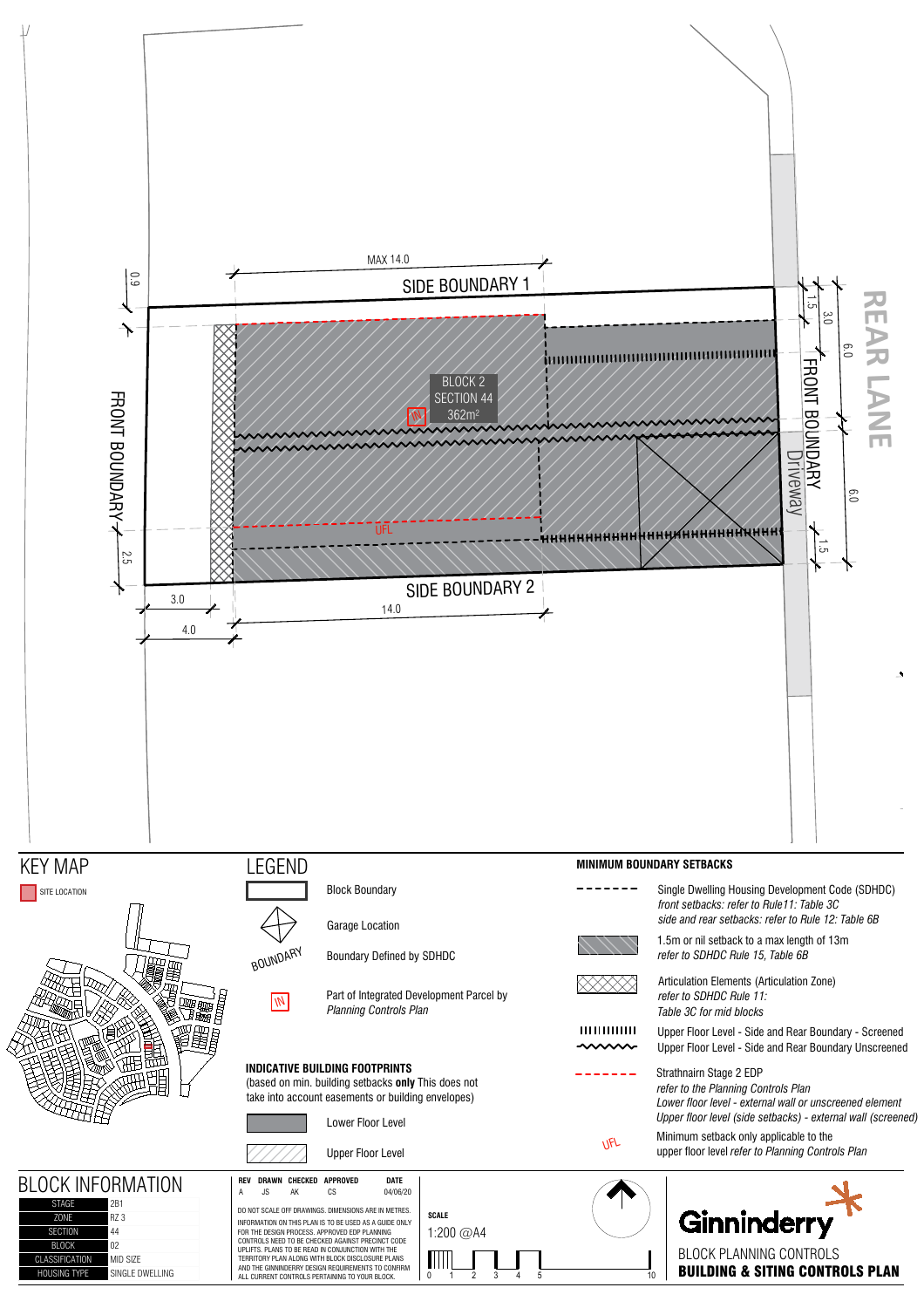